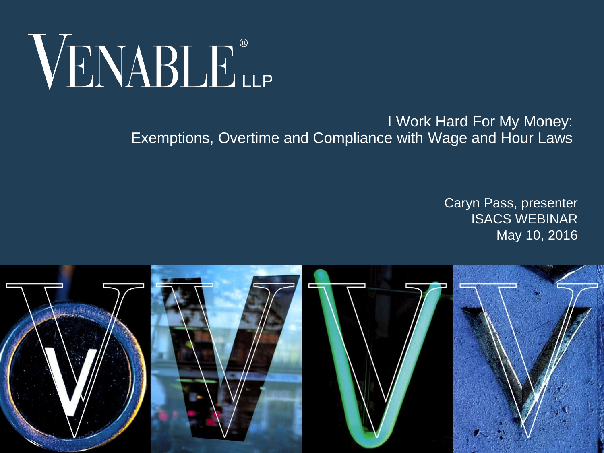

#### I Work Hard For My Money: Exemptions, Overtime and Compliance with Wage and Hour Laws

#### Caryn Pass, presenter ISACS WEBINAR May 10, 2016

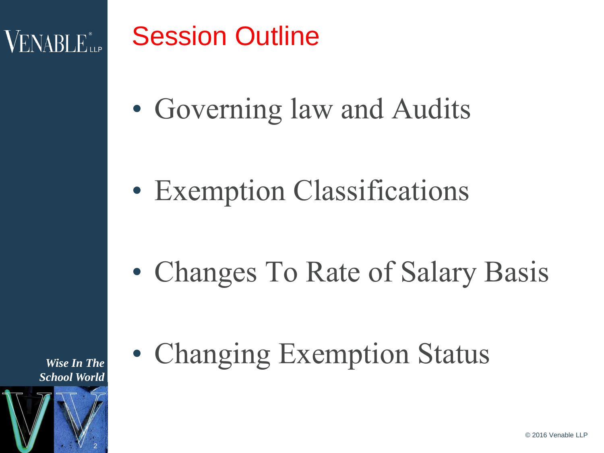### **VENABLE**

### Session Outline

• Governing law and Audits

• Exemption Classifications

• Changes To Rate of Salary Basis

• Changing Exemption Status

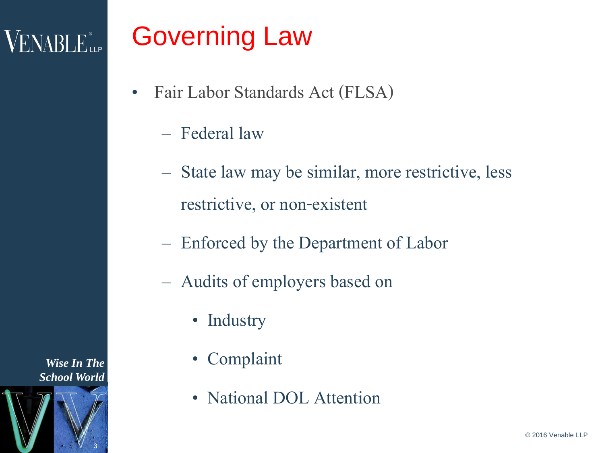### VENABLE

## Governing Law

- Fair Labor Standards Act (FLSA)
	- Federal law
	- State law may be similar, more restrictive, less restrictive, or non-existent
	- Enforced by the Department of Labor
	- Audits of employers based on
		- Industry
		- Complaint
		- National DOL Attention

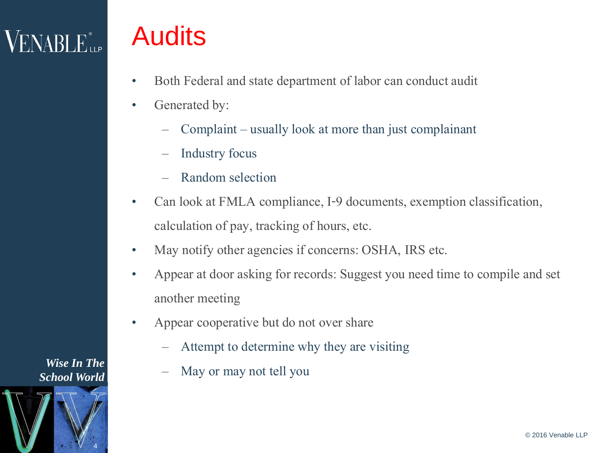## VENABLE"...

### Audits

- Both Federal and state department of labor can conduct audit
- Generated by:
	- Complaint –usually look at more than just complainant
	- Industry focus
	- Random selection
- Can look at FMLA compliance, I-9 documents, exemption classification, calculation of pay, tracking of hours, etc.
- May notify other agencies if concerns: OSHA, IRS etc.
- Appear at door asking for records: Suggest you need time to compile and set another meeting
- Appear cooperative but do not over share
	- Attempt to determine why they are visiting
	- May or may not tell you

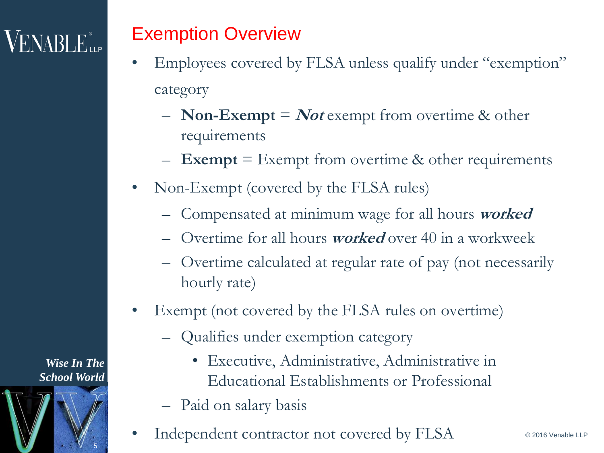#### Exemption Overview

- Employees covered by FLSA unless qualify under "exemption" category
	- **Non-Exempt** = **Not** exempt from overtime & other requirements
	- **Exempt** = Exempt from overtime & other requirements
- Non-Exempt (covered by the FLSA rules)
	- Compensated at minimum wage for all hours **worked**
	- Overtime for all hours **worked** over 40 in a workweek
	- Overtime calculated at regular rate of pay (not necessarily hourly rate)
- Exempt (not covered by the FLSA rules on overtime)
	- Qualifies under exemption category
		- Executive, Administrative, Administrative in Educational Establishments or Professional
	- Paid on salary basis
- Independent contractor not covered by FLSA

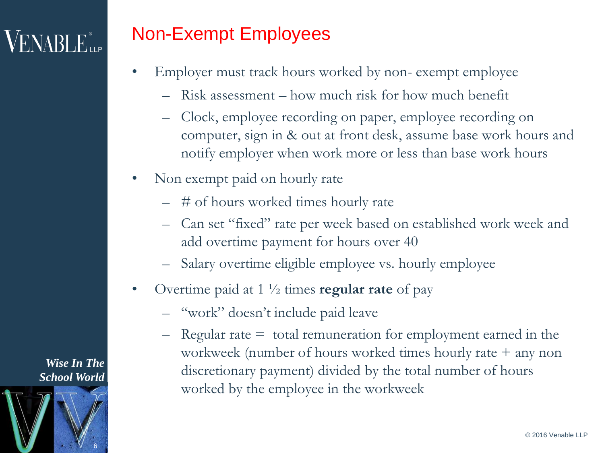#### Non-Exempt Employees

- Employer must track hours worked by non-exempt employee
	- Risk assessment how much risk for how much benefit
	- Clock, employee recording on paper, employee recording on computer, sign in & out at front desk, assume base work hours and notify employer when work more or less than base work hours
- Non exempt paid on hourly rate
	- # of hours worked times hourly rate
	- Can set "fixed" rate per week based on established work week and add overtime payment for hours over 40
	- Salary overtime eligible employee vs. hourly employee
- Overtime paid at 1 ½ times **regular rate** of pay
	- "work" doesn't include paid leave
	- $-$  Regular rate  $=$  total remuneration for employment earned in the workweek (number of hours worked times hourly rate + any non discretionary payment) divided by the total number of hours worked by the employee in the workweek

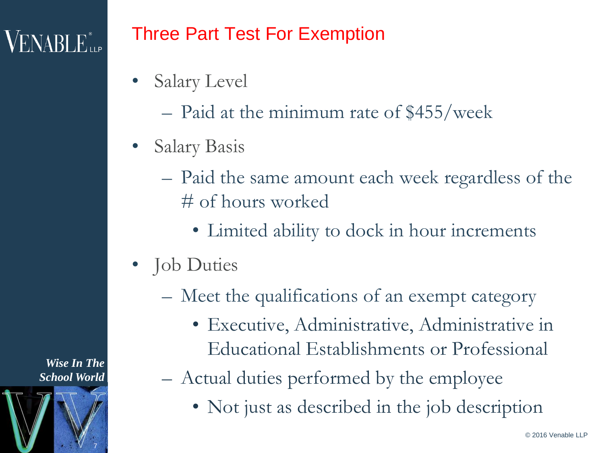### $VENABLE_{\sf LLP}^*$

#### Three Part Test For Exemption

- Salary Level
	- Paid at the minimum rate of \$455/week
- Salary Basis
	- Paid the same amount each week regardless of the # of hours worked
		- Limited ability to dock in hour increments
- Job Duties
	- Meet the qualifications of an exempt category
		- Executive, Administrative, Administrative in Educational Establishments or Professional
	- Actual duties performed by the employee
		- Not just as described in the job description

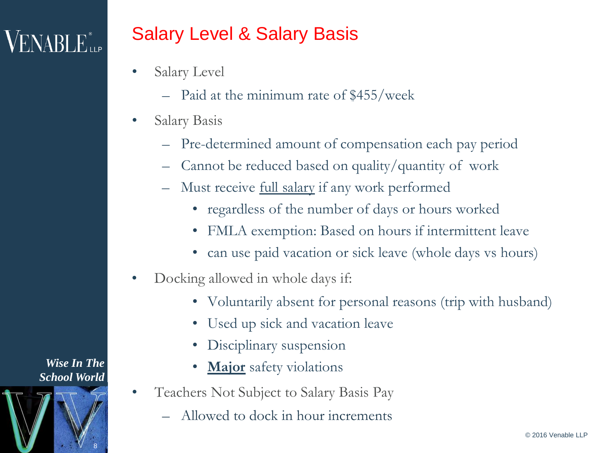#### Salary Level & Salary Basis

- Salary Level
	- Paid at the minimum rate of \$455/week
- Salary Basis
	- Pre-determined amount of compensation each pay period
	- Cannot be reduced based on quality/quantity of work
	- Must receive full salary if any work performed
		- regardless of the number of days or hours worked
		- FMLA exemption: Based on hours if intermittent leave
		- can use paid vacation or sick leave (whole days vs hours)
- Docking allowed in whole days if:
	- Voluntarily absent for personal reasons (trip with husband)
	- Used up sick and vacation leave
	- Disciplinary suspension
	- **Major** safety violations
- Teachers Not Subject to Salary Basis Pay
	- Allowed to dock in hour increments

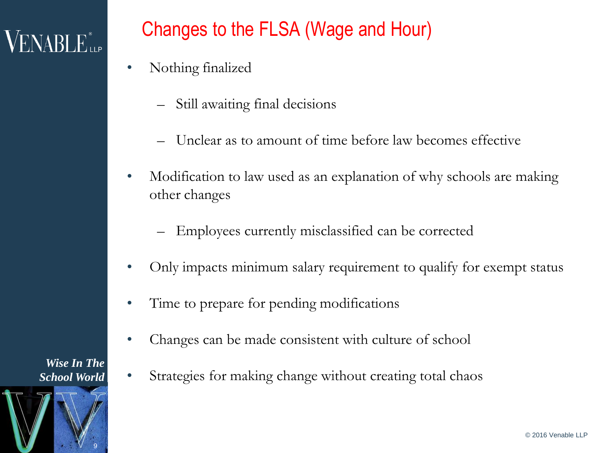### $\rm VENABI$   $\rm E_{\rm up}^{\ast}$

#### Changes to the FLSA (Wage and Hour)

- Nothing finalized
	- Still awaiting final decisions
	- Unclear as to amount of time before law becomes effective
- Modification to law used as an explanation of why schools are making other changes
	- Employees currently misclassified can be corrected
- Only impacts minimum salary requirement to qualify for exempt status
- Time to prepare for pending modifications
- Changes can be made consistent with culture of school
- Strategies for making change without creating total chaos

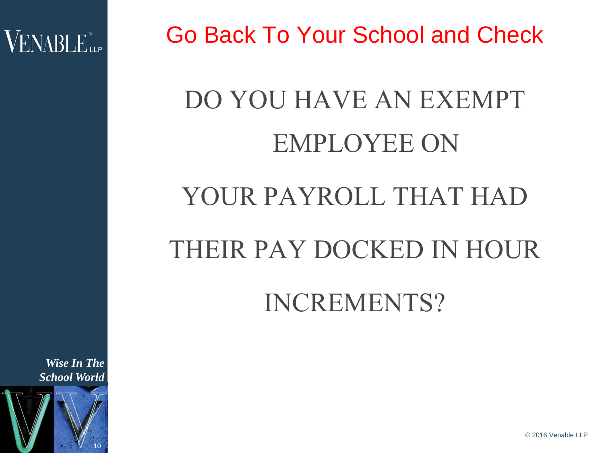

Go Back To Your School and Check

## DO YOU HAVE AN EXEMPT EMPLOYEE ON

### YOUR PAYROLL THAT HAD

### THEIR PAY DOCKED IN HOUR

INCREMENTS?

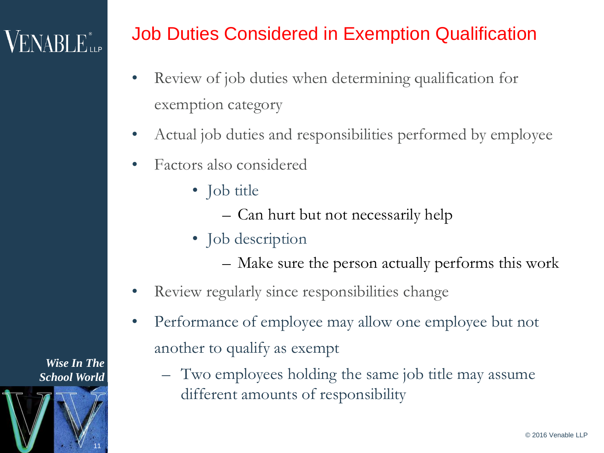#### Job Duties Considered in Exemption Qualification

- Review of job duties when determining qualification for exemption category
- Actual job duties and responsibilities performed by employee
- Factors also considered
	- Job title
		- Can hurt but not necessarily help
	- Job description
		- Make sure the person actually performs this work
- Review regularly since responsibilities change
- Performance of employee may allow one employee but not another to qualify as exempt
	- Two employees holding the same job title may assume different amounts of responsibility

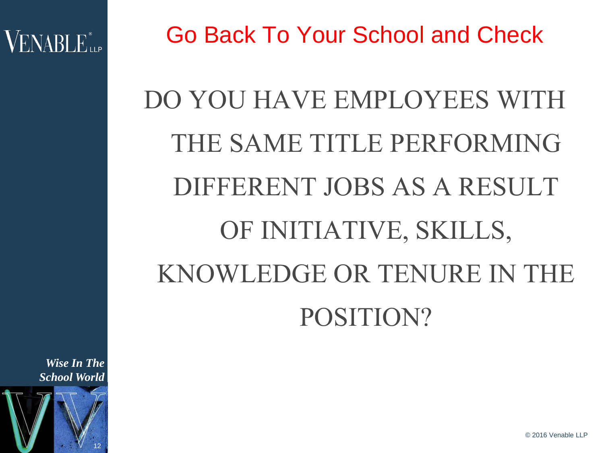

Go Back To Your School and Check

# DO YOU HAVE EMPLOYEES WITH THE SAME TITLE PERFORMING DIFFERENT JOBS AS A RESULT OF INITIATIVE, SKILLS, KNOWLEDGE OR TENURE IN THE POSITION?

*Wise In The School World*



© 2016 Venable LLP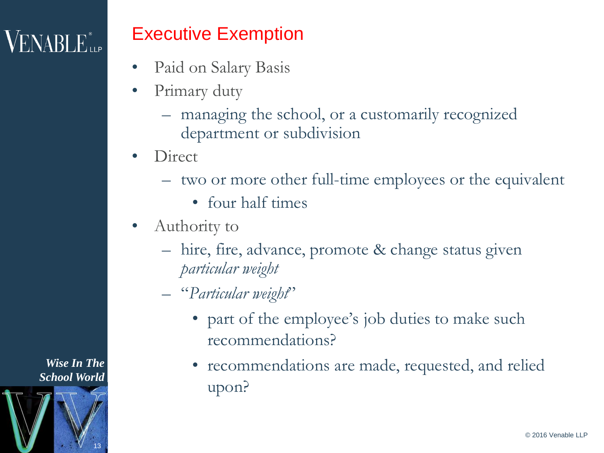#### Executive Exemption

- Paid on Salary Basis
- Primary duty
	- managing the school, or a customarily recognized department or subdivision
- Direct
	- two or more other full-time employees or the equivalent
		- four half times
- Authority to
	- hire, fire, advance, promote & change status given *particular weight*
	- "*Particular weight*"
		- part of the employee's job duties to make such recommendations?
		- recommendations are made, requested, and relied upon?

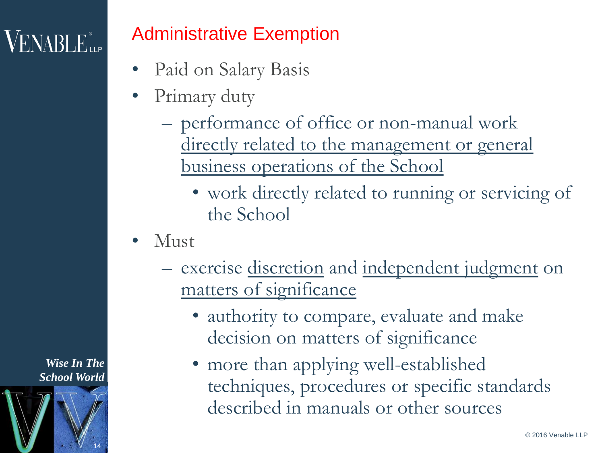### **VENABLE**<sup>®</sup>

#### Administrative Exemption

- Paid on Salary Basis
- Primary duty
	- performance of office or non-manual work
		- directly related to the management or general business operations of the School
			- work directly related to running or servicing of the School
- Must
	- exercise <u>discretion</u> and independent judgment on matters of significance
		- authority to compare, evaluate and make decision on matters of significance
		- more than applying well-established techniques, procedures or specific standards described in manuals or other sources

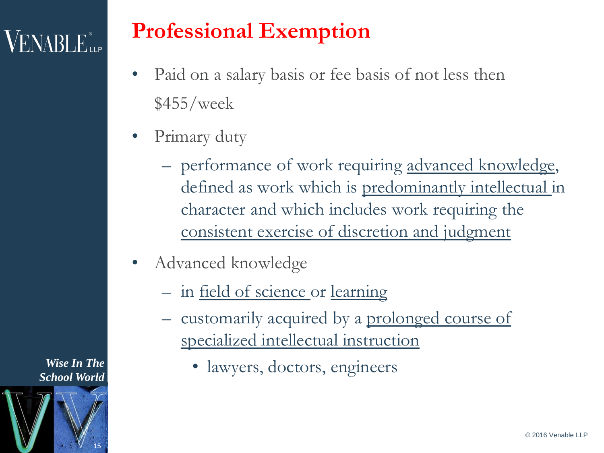## $VENABLE_{\scriptscriptstyle{\text{LLP}}}$

### **Professional Exemption**

- Paid on a salary basis or fee basis of not less then  $$455/we$
- Primary duty
	- performance of work requiring advanced knowledge, defined as work which is predominantly intellectual in character and which includes work requiring the consistent exercise of discretion and judgment
- Advanced knowledge
	- in field of science or learning
	- customarily acquired by a prolonged course of specialized intellectual instruction
		- lawyers, doctors, engineers

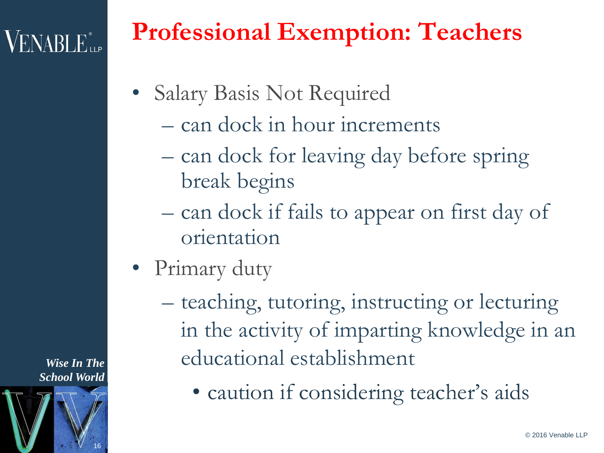## **VENABLE**

### **Professional Exemption: Teachers**

- Salary Basis Not Required
	- can dock in hour increments
	- can dock for leaving day before spring break begins
	- can dock if fails to appear on first day of orientation
- Primary duty
	- teaching, tutoring, instructing or lecturing in the activity of imparting knowledge in an educational establishment
		- caution if considering teacher's aids

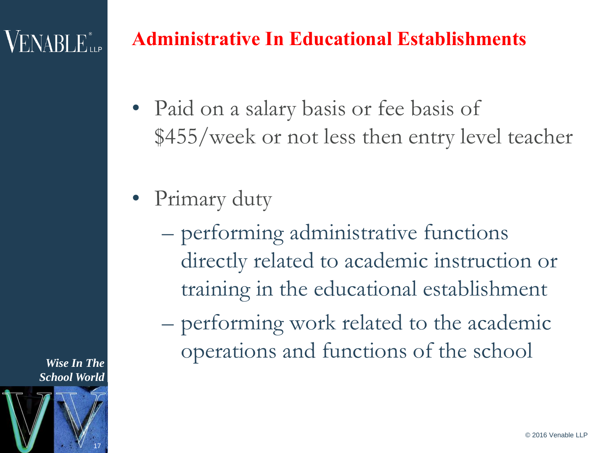### **VENABLE**

#### **Administrative In Educational Establishments**

- Paid on a salary basis or fee basis of \$455/week or not less then entry level teacher
- Primary duty
	- performing administrative functions directly related to academic instruction or training in the educational establishment
	- performing work related to the academic operations and functions of the school

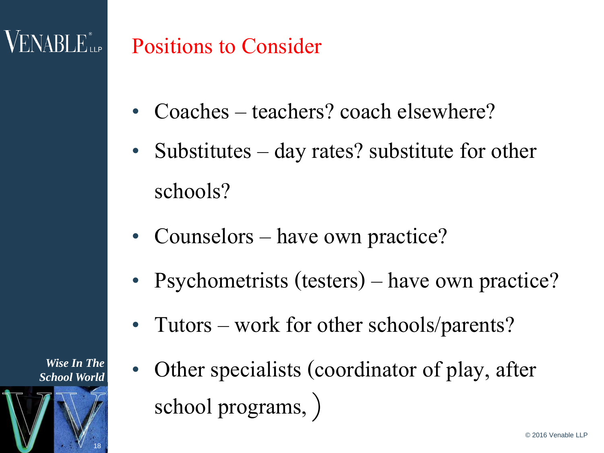### $\rm VENABLE$

### Positions to Consider

- Coaches teachers? coach elsewhere?
- Substitutes  $-$  day rates? substitute for other schools?
- Counselors have own practice?
- Psychometrists (testers) have own practice?
- Tutors work for other schools/parents?
- Other specialists (coordinator of play, after school programs, )

*Wise In The School World*

18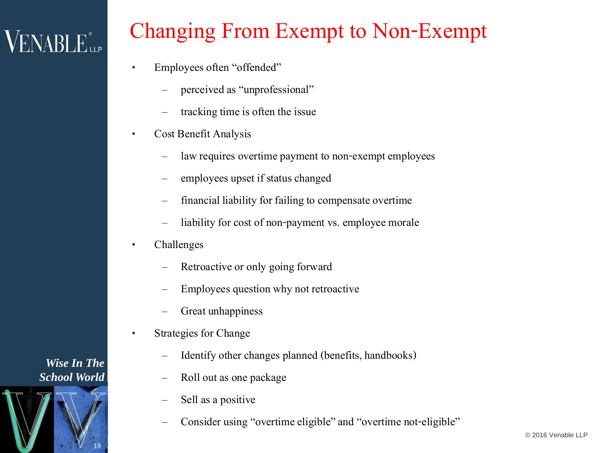## VENABLE"...

### Changing From Exempt to Non-Exempt

- Employees often "offended"
	- perceived as "unprofessional"
	- tracking time is often the issue
- Cost Benefit Analysis
	- law requires overtime payment to non-exempt employees
	- employees upset if status changed
	- financial liability for failing to compensate overtime
	- liability for cost of non-payment vs. employee morale
- Challenges
	- Retroactive or only going forward
	- Employees question why not retroactive
	- Great unhappiness
- Strategies for Change
	- Identify other changes planned (benefits, handbooks)
	- Roll out as one package
	- Sell as a positive
	- Consider using "overtime eligible" and "overtime not-eligible"

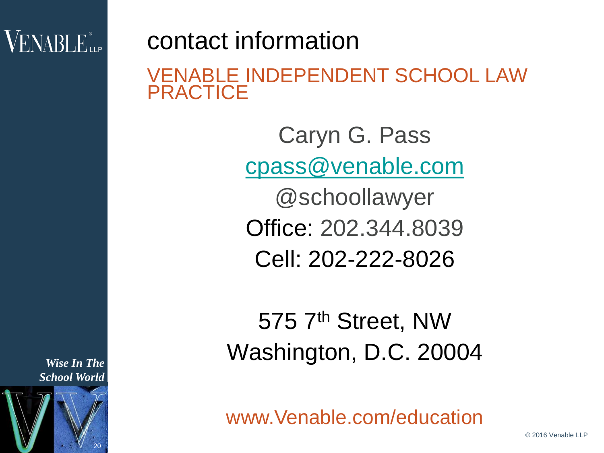### $\rm VENABI$   $\rm E_{\rm up}^{\ast}$

contact information VENABLE INDEPENDENT SCHOOL LAW **PRACTICE** 

> Caryn G. Pass [cpass@venable.com](mailto:cpass@venable.com) @schoollawyer Office: 202.344.8039 Cell: 202-222-8026

575 7th Street, NW Washington, D.C. 20004

20 *School World*

*Wise In The* 

www.Venable.com/education